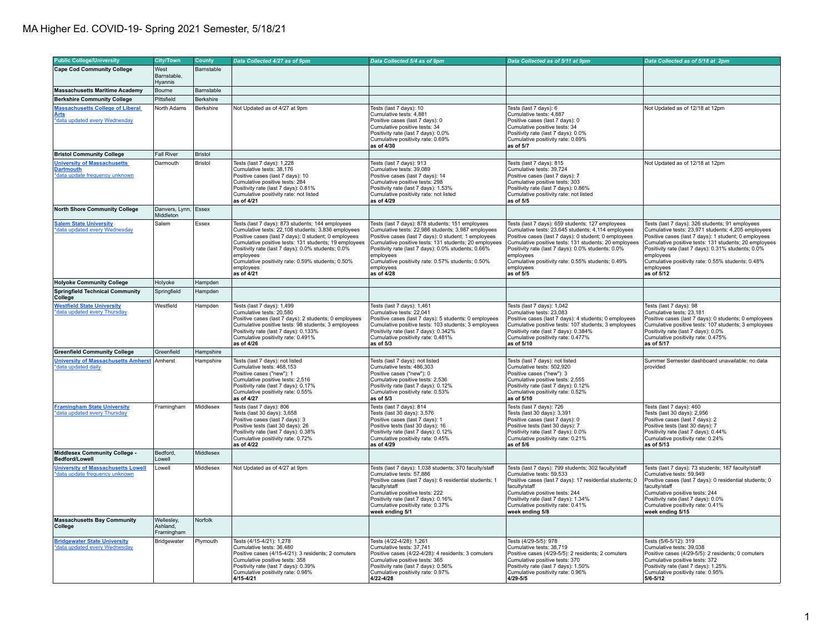## MA Higher Ed. COVID-19- Spring 2021 Semester, 5/18/21

| <b>Public College/University</b>                                                         | <b>City/Town</b>                     | County     | Data Collected 4/27 as of 9pm                                                                                                                                                                                                                                                                                                                                              | Data Collected 5/4 as of 9pm                                                                                                                                                                                                                                                                                                                                                | Data Collected as of 5/11 at 9pm                                                                                                                                                                                                                                                                                                                                          | Data Collected as of 5/18 at 2pm                                                                                                                                                                                                                                                                                                                                           |
|------------------------------------------------------------------------------------------|--------------------------------------|------------|----------------------------------------------------------------------------------------------------------------------------------------------------------------------------------------------------------------------------------------------------------------------------------------------------------------------------------------------------------------------------|-----------------------------------------------------------------------------------------------------------------------------------------------------------------------------------------------------------------------------------------------------------------------------------------------------------------------------------------------------------------------------|---------------------------------------------------------------------------------------------------------------------------------------------------------------------------------------------------------------------------------------------------------------------------------------------------------------------------------------------------------------------------|----------------------------------------------------------------------------------------------------------------------------------------------------------------------------------------------------------------------------------------------------------------------------------------------------------------------------------------------------------------------------|
| <b>Cape Cod Community College</b>                                                        | West                                 | Barnstable |                                                                                                                                                                                                                                                                                                                                                                            |                                                                                                                                                                                                                                                                                                                                                                             |                                                                                                                                                                                                                                                                                                                                                                           |                                                                                                                                                                                                                                                                                                                                                                            |
|                                                                                          | Barnstable.<br>Hyannis               |            |                                                                                                                                                                                                                                                                                                                                                                            |                                                                                                                                                                                                                                                                                                                                                                             |                                                                                                                                                                                                                                                                                                                                                                           |                                                                                                                                                                                                                                                                                                                                                                            |
| <b>Massachusetts Maritime Academy</b>                                                    | Bourne                               | Barnstable |                                                                                                                                                                                                                                                                                                                                                                            |                                                                                                                                                                                                                                                                                                                                                                             |                                                                                                                                                                                                                                                                                                                                                                           |                                                                                                                                                                                                                                                                                                                                                                            |
| <b>Berkshire Community College</b>                                                       | Pittsfield                           | Berkshire  |                                                                                                                                                                                                                                                                                                                                                                            |                                                                                                                                                                                                                                                                                                                                                                             |                                                                                                                                                                                                                                                                                                                                                                           |                                                                                                                                                                                                                                                                                                                                                                            |
| <b>Massachusetts College of Liberal</b><br>Arts<br>*data updated every Wednesday         | North Adams                          | Berkshire  | Not Updated as of 4/27 at 9pm                                                                                                                                                                                                                                                                                                                                              | Tests (last 7 days): 10<br>Cumulative tests: 4,881<br>Positive cases (last 7 days): 0<br>Cumulative positive tests: 34<br>Positivity rate (last 7 days): 0.0%<br>Cumulative positivity rate: 0.69%<br>as of 4/30                                                                                                                                                            | Tests (last 7 days): 6<br>Cumulative tests: 4,887<br>Positive cases (last 7 days): 0<br>Cumulative positive tests: 34<br>Positivity rate (last 7 days): 0.0%<br>Cumulative positivity rate: 0.69%<br>as of 5/7                                                                                                                                                            | Not Updated as of 12/18 at 12pm                                                                                                                                                                                                                                                                                                                                            |
| <b>Bristol Community College</b>                                                         | <b>Fall River</b>                    | Bristol    |                                                                                                                                                                                                                                                                                                                                                                            |                                                                                                                                                                                                                                                                                                                                                                             |                                                                                                                                                                                                                                                                                                                                                                           |                                                                                                                                                                                                                                                                                                                                                                            |
| <b>University of Massachusetts</b><br><b>Dartmouth</b><br>*data update frequency unknown | Darmouth                             | Bristol    | Tests (last 7 days): 1,228<br>Cumulative tests: 38,176<br>Positive cases (last 7 days): 10<br>Cumulative positive tests: 284<br>Positivity rate (last 7 days): 0.81%<br>Cumulative positivity rate: not listed<br>as of 4/21                                                                                                                                               | Tests (last 7 days): 913<br>Cumulative tests: 39,089<br>Positive cases (last 7 days): 14<br>Cumulative positive tests: 298<br>Positivity rate (last 7 days): 1.53%<br>Cumulative positivity rate: not listed<br>as of 4/29                                                                                                                                                  | Tests (last 7 days): 815<br>Cumulative tests: 39,724<br>Positive cases (last 7 days): 7<br>Cumulative positive tests: 303<br>Positivity rate (last 7 days): 0.86%<br>Cumulative positivity rate: not listed<br>as of 5/5                                                                                                                                                  | Not Updated as of 12/18 at 12pm                                                                                                                                                                                                                                                                                                                                            |
| <b>North Shore Community College</b>                                                     | Danvers, Lynn,<br>Middleton          | Essex      |                                                                                                                                                                                                                                                                                                                                                                            |                                                                                                                                                                                                                                                                                                                                                                             |                                                                                                                                                                                                                                                                                                                                                                           |                                                                                                                                                                                                                                                                                                                                                                            |
| <b>Salem State University</b><br>data updated every Wednesday                            | Salem                                | Essex      | Tests (last 7 days): 873 students; 144 employees<br>Cumulative tests: 22,108 students; 3,836 employees<br>Positive cases (last 7 days): 0 student; 0 employees<br>Cumulative positive tests: 131 students; 19 employees<br>Positivity rate (last 7 days): 0.0% students; 0.0%<br>employees<br>Cumulative positivity rate: 0.59% students; 0.50%<br>employees<br>as of 4/21 | Tests (last 7 days): 878 students; 151 employees<br>Cumulative tests: 22,986 students; 3,987 employees<br>Positive cases (last 7 days): 0 student; 1 employees<br>Cumulative positive tests: 131 students; 20 employees<br>Positivity rate (last 7 days): 0.0% students; 0.66%<br>employees<br>Cumulative positivity rate: 0.57% students; 0.50%<br>employees<br>as of 4/28 | Tests (last 7 days): 659 students; 127 employees<br>Cumulative tests: 23.645 students: 4.114 employees<br>Positive cases (last 7 days): 0 student; 0 employees<br>Cumulative positive tests: 131 students; 20 employees<br>Positivity rate (last 7 days): 0.0% students; 0.0%<br>employees<br>Cumulative positivity rate: 0.55% students; 0.49%<br>employees<br>as of 5/5 | Tests (last 7 days): 326 students; 91 employees<br>Cumulative tests: 23,971 students; 4,205 employees<br>Positive cases (last 7 days): 1 student; 0 employees<br>Cumulative positive tests: 131 students; 20 employees<br>Positivity rate (last 7 days): 0.31% students; 0.0%<br>employees<br>Cumulative positivity rate: 0.55% students; 0.48%<br>employees<br>as of 5/12 |
| <b>Holyoke Community College</b>                                                         | Holyoke                              | Hampden    |                                                                                                                                                                                                                                                                                                                                                                            |                                                                                                                                                                                                                                                                                                                                                                             |                                                                                                                                                                                                                                                                                                                                                                           |                                                                                                                                                                                                                                                                                                                                                                            |
| <b>Springfield Technical Community</b><br>College                                        | Springfield                          | Hampden    |                                                                                                                                                                                                                                                                                                                                                                            |                                                                                                                                                                                                                                                                                                                                                                             |                                                                                                                                                                                                                                                                                                                                                                           |                                                                                                                                                                                                                                                                                                                                                                            |
| <b>Westfield State University</b><br>*data updated every Thursday                        | Westfield                            | Hampden    | Tests (last 7 days): 1,499<br>Cumulative tests: 20,580<br>Positive cases (last 7 days): 2 students; 0 employees<br>Cumulative positive tests: 98 students; 3 employees<br>Positivity rate (last 7 days): 0.133%<br>Cumulative positivity rate: 0.491%<br>as of 4/26                                                                                                        | Tests (last 7 days): 1,461<br>Cumulative tests: 22,041<br>Positive cases (last 7 days): 5 students; 0 employees<br>Cumulative positive tests: 103 students; 3 employees<br>Positivity rate (last 7 days): 0.342%<br>Cumulative positivity rate: 0.481%<br>as of 5/3                                                                                                         | Tests (last 7 days): 1,042<br>Cumulative tests: 23,083<br>Positive cases (last 7 days): 4 students; 0 employees<br>Cumulative positive tests: 107 students; 3 employees<br>Positivity rate (last 7 days): 0.384%<br>Cumulative positivity rate: 0.477%<br>as of 5/10                                                                                                      | Tests (last 7 days): 98<br>Cumulative tests: 23,181<br>Positive cases (last 7 days): 0 students; 0 employees<br>Cumulative positive tests: 107 students; 3 employees<br>Positivity rate (last 7 days): 0.0%<br>Cumulative positivity rate: 0.475%<br>as of 5/17                                                                                                            |
| <b>Greenfield Community College</b>                                                      | Greenfield                           | Hampshire  |                                                                                                                                                                                                                                                                                                                                                                            |                                                                                                                                                                                                                                                                                                                                                                             |                                                                                                                                                                                                                                                                                                                                                                           |                                                                                                                                                                                                                                                                                                                                                                            |
| <b>University of Massachusetts Amherst</b><br>*data updated daily                        | Amherst                              | Hampshire  | Tests (last 7 days): not listed<br>Cumulative tests: 468,153<br>Positive cases ("new"): 1<br>Cumulative positive tests: 2,516<br>Positivity rate (last 7 days): 0.17%<br>Cumulative positivity rate: 0.55%<br>as of 4/27                                                                                                                                                   | Tests (last 7 days): not listed<br>Cumulative tests: 486,303<br>Positive cases ("new"): 0<br>Cumulative positive tests: 2,536<br>Positivity rate (last 7 days): 0.12%<br>Cumulative positivity rate: 0.53%<br>as of 5/3                                                                                                                                                     | Tests (last 7 days): not listed<br>Cumulative tests: 502,920<br>Positive cases ("new"): 3<br>Cumulative positive tests: 2,555<br>Positivity rate (last 7 days): 0.12%<br>Cumulative positivity rate: 0.52%<br>as of 5/10                                                                                                                                                  | Summer Semester dashboard unavailable; no data<br>provided                                                                                                                                                                                                                                                                                                                 |
| <b>Framingham State University</b><br>data updated every Thursday                        | Framingham                           | Middlesex  | Tests (last 7 days): 806<br>Tests (last 30 days): 3,658<br>Positive cases (last 7 days): 3<br>Positive tests (last 30 days): 26<br>Positivity rate (last 7 days): 0.38%<br>Cumulative positivity rate: 0.72%<br>as of 4/22                                                                                                                                                 | Tests (last 7 days): 814<br>Tests (last 30 days): 3,576<br>Positive cases (last 7 days): 1<br>Positive tests (last 30 days): 16<br>Positivity rate (last 7 days): 0.12%<br>Cumulative positivity rate: 0.45%<br>as of 4/29                                                                                                                                                  | Tests (last 7 days): 726<br>Tests (last 30 days): 3,391<br>Positive cases (last 7 days): 0<br>Positive tests (last 30 days): 7<br>Positivity rate (last 7 days): 0.0%<br>Cumulative positivity rate: 0.21%<br>as of 5/6                                                                                                                                                   | Tests (last 7 days): 460<br>Tests (last 30 days): 2,956<br>Positive cases (last 7 days): 2<br>Positive tests (last 30 days): 7<br>Positivity rate (last 7 days): 0.44%<br>Cumulative positivity rate: 0.24%<br>as of 5/13                                                                                                                                                  |
| Middlesex Community College -<br>Bedford/Lowell                                          | Bedford,<br>Lowell                   | Middlesex  |                                                                                                                                                                                                                                                                                                                                                                            |                                                                                                                                                                                                                                                                                                                                                                             |                                                                                                                                                                                                                                                                                                                                                                           |                                                                                                                                                                                                                                                                                                                                                                            |
| <b>University of Massachusetts Lowell</b><br>*data update frequency unknown              | Lowell                               | Middlesex  | Not Updated as of 4/27 at 9pm                                                                                                                                                                                                                                                                                                                                              | Tests (last 7 days): 1,038 students; 370 faculty/staff<br>Cumulative tests: 57,886<br>Positive cases (last 7 days): 6 residential students; 1<br>faculty/staff<br>Cumulative positive tests: 222<br>Positivity rate (last 7 days): 0.16%<br>Cumulative positivity rate: 0.37%<br>week ending 5/1                                                                            | Tests (last 7 days): 799 students; 302 faculty/staff<br>Cumulative tests: 59,533<br>Positive cases (last 7 days): 17 residential students; 0<br>faculty/staff<br>Cumulative positive tests: 244<br>Positivity rate (last 7 days): 1.34%<br>Cumulative positivity rate: 0.41%<br>week ending 5/8                                                                           | Tests (last 7 days): 73 students; 187 faculty/staff<br>Cumulative tests: 59,949<br>Positive cases (last 7 days): 0 residential students; 0<br>faculty/staff<br>Cumulative positive tests: 244<br>Positivity rate (last 7 days): 0.0%<br>Cumulative positivity rate: 0.41%<br>week ending 5/15                                                                              |
| <b>Massachusetts Bay Community</b><br>College                                            | Wellesley,<br>Ashland,<br>Framingham | Norfolk    |                                                                                                                                                                                                                                                                                                                                                                            |                                                                                                                                                                                                                                                                                                                                                                             |                                                                                                                                                                                                                                                                                                                                                                           |                                                                                                                                                                                                                                                                                                                                                                            |
| <b>Bridgewater State University</b><br>*data updated every Wednesday                     | Bridgewater                          | Plymouth   | Tests (4/15-4/21): 1,278<br>Cumulative tests: 36,480<br>Positive cases (4/15-4/21): 3 residents; 2 comuters<br>Cumulative positive tests: 358<br>Positivity rate (last 7 days): 0.39%<br>Cumulative positivity rate: 0.98%<br>4/15-4/21                                                                                                                                    | Tests (4/22-4/28): 1,261<br>Cumulative tests: 37,741<br>Positive cases (4/22-4/28): 4 residents; 3 comuters<br>Cumulative positive tests: 365<br>Positivity rate (last 7 days): 0.56%<br>Cumulative positivity rate: 0.97%<br>4/22-4/28                                                                                                                                     | Tests (4/29-5/5): 978<br>Cumulative tests: 38,719<br>Positive cases (4/29-5/5): 2 residents; 2 comuters<br>Cumulative positive tests: 370<br>Positivity rate (last 7 days): 1.50%<br>Cumulative positivity rate: 0.96%<br>4/29-5/5                                                                                                                                        | Tests (5/6-5/12): 319<br>Cumulative tests: 39,038<br>Positive cases (4/29-5/5): 2 residents; 0 comuters<br>Cumulative positive tests: 372<br>Positivity rate (last 7 days): 1.25%<br>Cumulative positivity rate: 0.95%<br>$5/6 - 5/12$                                                                                                                                     |